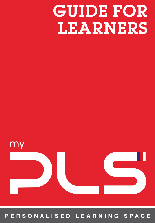# GUIDE FOR LEARNERS



#### ERSONALISED LEARNING SPACE P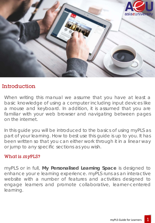

# **Introduction**

When writing this manual we assume that you have at least a basic knowledge of using a computer including input devices like a mouse and keyboard. In addition, it is assumed that you are familiar with your web browser and navigating between pages on the internet.

In this guide you will be introduced to the basics of using *my*PLS as part of your learning. How to best use this guide is up to you. It has been written so that you can either work through it in a linear way or jump to any specific sections as you wish.

### What is myPLS?

*my*PLS or in full, **My Personalised Learning Space** is designed to enhance your e learning experience. *my*PLS runs as an interactive website with a number of features and activities designed to engage learners and promote collaborative, learner-centered learning.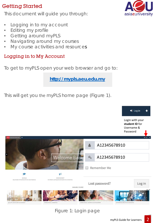# Getting Started

This document will guide you through:

- Logging in to my account
- Editing my profile
- Getting around *my*PLS
- Navigating around my courses
- My course activities and resources

# Logging in to My Account

To get to myPLS open your web browser and go to:

**http://mypls.aeu.edu.my**

This will get you the myPLS home page (Figure 1).



![](_page_2_Picture_12.jpeg)

![](_page_2_Picture_13.jpeg)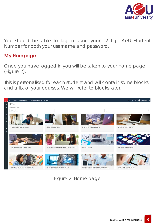![](_page_3_Picture_0.jpeg)

You should be able to log in using your 12-digit AeU Student Number for both your username and password.

#### My Hompage

Once you have logged in you will be taken to your Home page (Figure 2).

This is personalised for each student and will contain some blocks and a list of your courses. We will refer to blocks later.

![](_page_3_Picture_5.jpeg)

Figure 2: Home page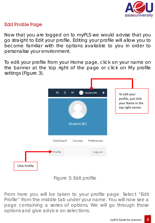![](_page_4_Picture_0.jpeg)

#### Edit Profile Page

Now that you are logged on to myPLS we would advise that you go straight to Edit your profile. Editing your profile will allow you to become familiar with the options available to you in order to personalise your environment.

To edit your profile from your Home page, click on your name on the banner at the top right of the page or click on My profile settings (Figure 3).

![](_page_4_Figure_4.jpeg)

![](_page_4_Figure_5.jpeg)

From here you will be taken to your profile page. Select "Edit Profile" from the middle tab under your name. You will now see a page containing a series of options. We will go through those options and give advice on selections.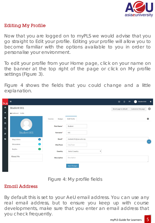![](_page_5_Picture_0.jpeg)

#### Editing My Profile

Now that you are logged on to myPLS we would advise that you go straight to Edit your profile. Editing your profile will allow you to become familiar with the options available to you in order to personalise your environment.

To edit your profile from your Home page, click on your name on the banner at the top right of the page or click on My profile settings (Figure 3).

Figure 4 shows the fields that you could change and a little explanation.

| <b>PLS</b>          | $\equiv$                         |                          | $\Delta$<br>Student 001<br>$\ddotmark$<br>$\boxtimes$<br>$\mathbf{p}$ |
|---------------------|----------------------------------|--------------------------|-----------------------------------------------------------------------|
| $\pmb{\circledast}$ | Student 001                      |                          | 尊<br>Reset page to default<br>Customise this page                     |
| 备                   | <b>20</b> Dashboard / Profile    |                          |                                                                       |
| $\bullet$           |                                  | <b>Badges</b><br>Courses | ۰<br><b>Edit Profile</b>                                              |
| 曲<br>色              |                                  | First Name*              | Student                                                               |
| <b>B</b>            | Student 001                      | Surname*                 | 001                                                                   |
| $\bullet$           | $\bullet$<br><b>Blog Entries</b> | Email*                   | student.001@aeu.edu.my<br>$\sim$                                      |
|                     | $\bullet$<br><b>Discussions</b>  | City/Town                | City/Town                                                             |
|                     | $\bullet$<br>Replies             | Country                  | Select Country<br>$\pmb{\mathrm{v}}$                                  |
|                     | About Me                         | <b>Description</b>       | Description                                                           |
|                     |                                  |                          | <b>Save Changes</b>                                                   |

Figure 4: My profile fields

#### Email Address

By default this is set to your AeU email address. You can use any real email address, but to ensure you keep up with course developments, make sure that you enter an email address that you check frequently.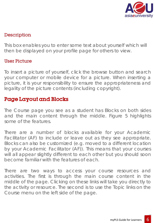![](_page_6_Picture_0.jpeg)

#### **Description**

This box enables you to enter some text about yourself which will then be displayed on your profile page for others to view.

#### User Picture

To insert a picture of yourself, click the browse button and search your computer or mobile device for a picture. When inserting a picture, it is your responsibility to ensure the appropriateness and legality of the picture contents (including copyright).

# Page Layout and Blocks

The Course page you see as a student has Blocks on both sides and the main content through the middle. Figure 5 highlights some of the features.

There are a number of blocks available for your Academic Facilitator (AF) to include or leave out as they see appropriate. Blocks can also be customized (e.g. moved to a different location by your Academic Facilitator (AF)). This means that your courses will all appear slightly different to each other but you should soon become familiar with the features of each.

There are two ways to access your course resources and activities. The first is through the main course content in the middle of the page. Clicking on these links will take you directly to the activity or resource. The second is to use the Topic links on the Course menu on the left side of the page.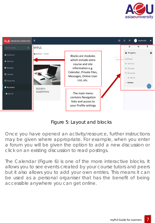![](_page_7_Picture_0.jpeg)

![](_page_7_Figure_1.jpeg)

### Figure 5: Layout and blocks

Once you have opened an activity/resource, further instructions may be given where appropriate. For example, when you enter a forum you will be given the option to add a new discussion or click on an existing discussion to read postings.

The Calendar (Figure 6) is one of the more interactive blocks. It allows you to see events created by your course tutors and peers but it also allows you to add your own entries. This means it can be used as a personal organiser that has the benefit of being accessible anywhere you can get online.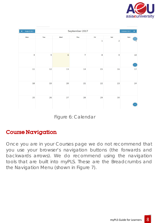![](_page_8_Picture_0.jpeg)

| August 2017<br>٠ |        |            | September 2017 |             |                | October 2017<br>►          |
|------------------|--------|------------|----------------|-------------|----------------|----------------------------|
| Mon              | Tue    | Wed        | Thu            | Fri         | Sat            | Sun                        |
|                  |        |            |                | $\mathbf 1$ | $\overline{2}$ | 3                          |
| $\overline{4}$   | 5      | $\sqrt{6}$ | $\overline{7}$ | $\,$ 8 $\,$ | $\mathsf{9}$   | $10$<br>$\bar{\mathbb{A}}$ |
| 11               | $12\,$ | 13         | 14             | 15          | 16             | $17\,$                     |
| 18               | 19     | 20         | 21             | 22          | 23             | 24                         |
| 25               | $26\,$ | 27         | 28             | 29          | 30             |                            |

Figure 6: Calendar

# Course Navigation

Once you are in your Courses page we do not recommend that you use your browser's navigation buttons (the forwards and backwards arrows). We do recommend using the navigation tools that are built into *my*PLS. These are the Breadcrumbs and the Navigation Menu (shown in Figure 7).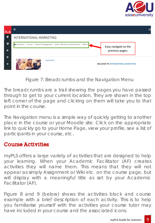![](_page_9_Picture_0.jpeg)

| <b>PUS</b> | 亖                                                                                                | ⊠                                         |
|------------|--------------------------------------------------------------------------------------------------|-------------------------------------------|
| Ð          | <b>INTERNATIONAL MARKETING</b>                                                                   |                                           |
| 曫          | <b>B</b> Dashboard / Courses / School of Management / Master of Business Administration / MIM722 | Easy navigate to the                      |
|            |                                                                                                  | previous pages.                           |
| $\bullet$  | General                                                                                          |                                           |
| $\bigstar$ |                                                                                                  | <b>WELCOME TO INTERNATIONAL MARKETING</b> |

Figure 7: Breadcrumbs and the Navigation Menu

The breadcrumbs are a trail showing the pages you have passed through to get to your current location. They are shown in the top left corner of the page and clicking on them will take you to that point in the course.

The Navigation menu is a simple way of quickly getting to another place in the course or your Moodle site. Click on the appropriate link to quickly go to your Home Page, view your profile, see a list of participants in your course, etc.

# Course Activities

*my*PLS offers a large variety of activities that are designed to help your learning. When your Academic Facilitator (AF) creates activities they will name them. This means that they will not appear as simply Assignment or Wiki etc. on the course page, but will display with a meaningful title as set by your Academic Facilitator (AF).

Figure 8 and 9 (below) shows the activities block and course example with a brief description of each activity. This is to help you familiarise yourself with the activities your course tutor may have included in your course and the associated icons.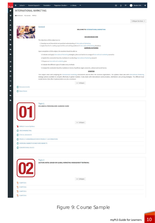| ≡<br>School -<br>Student Support -        | Student 001<br>Timetable -<br>Plagiarism Checker -<br>e-Library<br>                                                                                                                                                                             |
|-------------------------------------------|-------------------------------------------------------------------------------------------------------------------------------------------------------------------------------------------------------------------------------------------------|
| <b>INTERNATIONAL MARKETING</b>            |                                                                                                                                                                                                                                                 |
| <b>26</b> Dashboard / My courses / MIM722 |                                                                                                                                                                                                                                                 |
|                                           | Collapse Sections ^                                                                                                                                                                                                                             |
|                                           | General                                                                                                                                                                                                                                         |
|                                           | <b>WELCOME TO INTERNATIONAL MARKETING</b>                                                                                                                                                                                                       |
|                                           |                                                                                                                                                                                                                                                 |
|                                           | <b>AIM AND OBJECTIVES</b>                                                                                                                                                                                                                       |
|                                           | The objectives of this subject are to:<br>1. Develop sound theoretical and practical understanding of International Marketing                                                                                                                   |
|                                           | 2. Apply theories in creating opportunities and solving problems in International Marketing situations                                                                                                                                          |
|                                           | <b>LEARNING OUTCOMES</b><br>Upon completion of this subject, the students should be able to:                                                                                                                                                    |
|                                           | 1. Evaluate and apply International Marketing strategies, plans and tactics to a range of International marketing scenarios.                                                                                                                    |
|                                           | 2. Explain the constraints faced by marketers in conducting International Marketing research                                                                                                                                                    |
|                                           | 3. Prepare an International marketing plan                                                                                                                                                                                                      |
|                                           | 4. Evaluate the different types of market entry methods                                                                                                                                                                                         |
|                                           | 5. Analyze the constraints faced by marketers in terms of political, legal, economic, cultural and social factors.                                                                                                                              |
|                                           | <b>SYNOPSIS</b><br>This subject deals with analyzing the international marketing environment and its effect the business organization. The syllabus deals also with international Marketing                                                     |
|                                           | strategy options available to compete effectively in global markets. It also deals with international communication, distribution and pricing strategies. The different local<br>market factors that affect implementation are also considered. |
|                                           | $\wedge$ Collapse                                                                                                                                                                                                                               |
| (5) Announcements                         |                                                                                                                                                                                                                                                 |
| (iii) News forum                          |                                                                                                                                                                                                                                                 |
| UT                                        |                                                                                                                                                                                                                                                 |
|                                           | $\wedge$ Collapse                                                                                                                                                                                                                               |
| MIM625 Course Syllabus                    |                                                                                                                                                                                                                                                 |
|                                           |                                                                                                                                                                                                                                                 |
| GREEN MARKETING                           |                                                                                                                                                                                                                                                 |
| ETHICAL BEHAVIOR                          |                                                                                                                                                                                                                                                 |
|                                           | PRODUCT STANDARDIZATION VS PRODUCT CUSTOMIZATION                                                                                                                                                                                                |
| EMERGING MARKETS VS MATURED MARKETS       |                                                                                                                                                                                                                                                 |
| GENERATIONAL ISSUES                       |                                                                                                                                                                                                                                                 |
|                                           | Topic 2                                                                                                                                                                                                                                         |
| $\bm{02}$                                 | LECTURE NOTES (BASED ON GLOBAL MARKETING MANAGEMENT TEXTBOOK)                                                                                                                                                                                   |
|                                           |                                                                                                                                                                                                                                                 |
|                                           | $\wedge$ Collapse                                                                                                                                                                                                                               |
| CHAPTER 1                                 |                                                                                                                                                                                                                                                 |
| CHAPTER 2                                 |                                                                                                                                                                                                                                                 |
| CHAPTER 3                                 |                                                                                                                                                                                                                                                 |
| CHAPTER 4                                 |                                                                                                                                                                                                                                                 |

# Figure 9: Course Sample